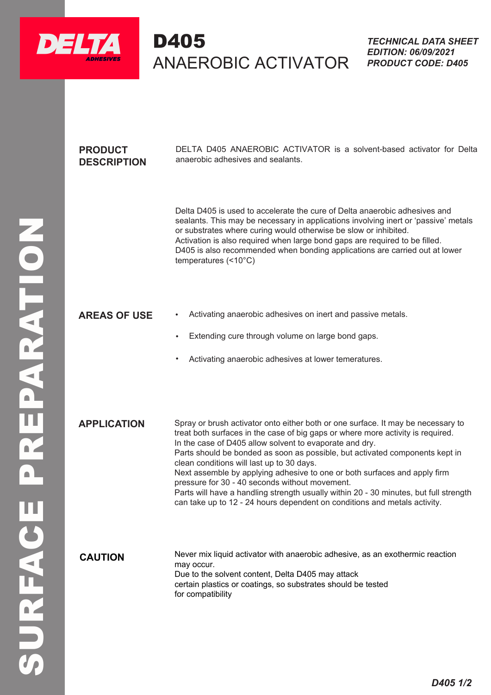

# D405 ANAEROBIC ACTIVATOR DELTA D405

## **PRODUCT DESCRIPTION**

DELTA D405 ANAEROBIC ACTIVATOR is a solvent-based activator for Delta anaerobic adhesives and sealants.

Delta D405 is used to accelerate the cure of Delta anaerobic adhesives and sealants. This may be necessary in applications involving inert or 'passive' metals or substrates where curing would otherwise be slow or inhibited. Activation is also required when large bond gaps are required to be filled. D405 is also recommended when bonding applications are carried out at lower temperatures (<10°C)

#### **AREAS OF USE** • Activating anaerobic adhesives on inert and passive metals.

- Extending cure through volume on large bond gaps.
- 

searants. This may be necessary in a phiplications and control and the proportion is also recommended when large bond gaps are neglected.<br>
AREAS OF USE<br>
AREAS OF USE<br>
AREAS OF USE<br>
AREAS AREAS OF USE<br>
AREAS AREAS OF USE<br> **APPLICATION** Spray or brush activator onto either both or one surface. It may be necessary to treat both surfaces in the case of big gaps or where more activity is required. In the case of D405 allow solvent to evaporate and dry. Parts should be bonded as soon as possible, but activated components kept in clean conditions will last up to 30 days. Next assemble by applying adhesive to one or both surfaces and apply firm pressure for 30 - 40 seconds without movement. Parts will have a handling strength usually within 20 - 30 minutes, but full strength can take up to 12 - 24 hours dependent on conditions and metals activity.

Never mix liquid activator with anaerobic adhesive, as an exothermic reaction may occur. Due to the solvent content, Delta D405 may attack certain plastics or coatings, so substrates should be tested for compatibility **CAUTION**